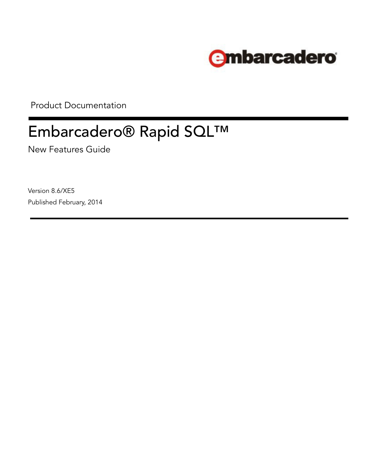

Product Documentation

# Embarcadero® Rapid SQL™

New Features Guide

Version 8.6/XE5 Published February, 2014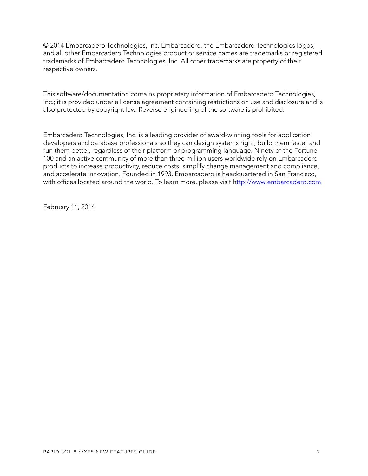© 2014 Embarcadero Technologies, Inc. Embarcadero, the Embarcadero Technologies logos, and all other Embarcadero Technologies product or service names are trademarks or registered trademarks of Embarcadero Technologies, Inc. All other trademarks are property of their respective owners.

This software/documentation contains proprietary information of Embarcadero Technologies, Inc.; it is provided under a license agreement containing restrictions on use and disclosure and is also protected by copyright law. Reverse engineering of the software is prohibited.

Embarcadero Technologies, Inc. is a leading provider of award-winning tools for application developers and database professionals so they can design systems right, build them faster and run them better, regardless of their platform or programming language. Ninety of the Fortune 100 and an active community of more than three million users worldwide rely on Embarcadero products to increase productivity, reduce costs, simplify change management and compliance, and accelerate innovation. Founded in 1993, Embarcadero is headquartered in San Francisco, with offices located around the world. To learn more, please visit h[ttp://www.embarcadero.com](http://www.embarcadero.com).

February 11, 2014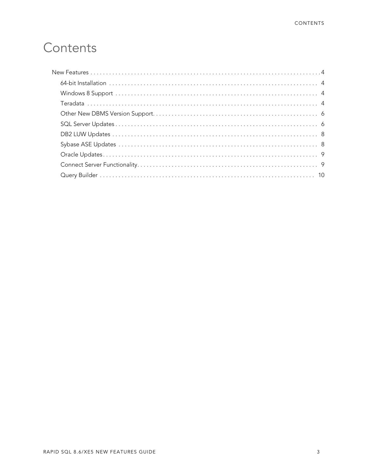# Contents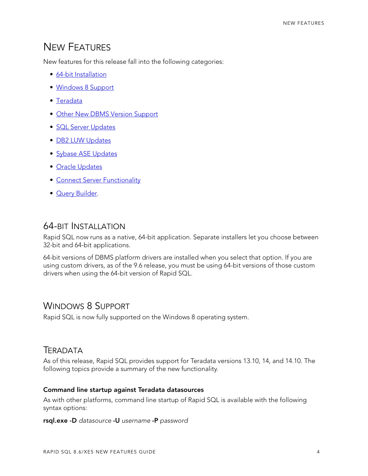# <span id="page-3-0"></span>NEW FEATURES

New features for this release fall into the following categories:

- [64-bit Installation](#page-3-1)
- [Windows 8 Support](#page-3-2)
- [Teradata](#page-3-3)
- [Other New DBMS Version Support](#page-5-0)
- [SQL Server Updates](#page-5-1)
- [DB2 LUW Updates](#page-7-0)
- [Sybase ASE Updates](#page-7-1)
- [Oracle Updates](#page-8-0)
- [Connect Server Functionality](#page-8-1)
- [Query Builder](#page-9-0).

# <span id="page-3-1"></span>64-BIT INSTALLATION

Rapid SQL now runs as a native, 64-bit application. Separate installers let you choose between 32-bit and 64-bit applications.

64-bit versions of DBMS platform drivers are installed when you select that option. If you are using custom drivers, as of the 9.6 release, you must be using 64-bit versions of those custom drivers when using the 64-bit version of Rapid SQL.

# <span id="page-3-2"></span>WINDOWS 8 SUPPORT

Rapid SQL is now fully supported on the Windows 8 operating system.

# <span id="page-3-3"></span>TERADATA

As of this release, Rapid SQL provides support for Teradata versions 13.10, 14, and 14.10. The following topics provide a summary of the new functionality.

#### **Command line startup against Teradata datasources**

As with other platforms, command line startup of Rapid SQL is available with the following syntax options:

#### **rsql.exe -D** *datasource* **-U** *username* **-P** *password*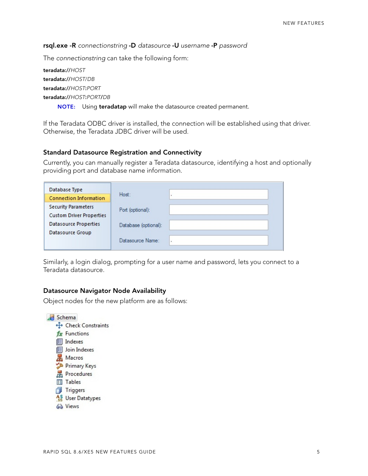#### **rsql.exe -R** *connectionstring* **-D** *datasource* **-U** *username* **-P** *password*

The *connectionstring* can take the following form:

**teradata://***HOST* **teradata://***HOST*/*DB* **teradata://***HOST***:***PORT* **teradata://***HOST***:***PORT***/***DB*

**NOTE:** Using **teradatap** will make the datasource created permanent.

If the Teradata ODBC driver is installed, the connection will be established using that driver. Otherwise, the Teradata JDBC driver will be used.

#### **Standard Datasource Registration and Connectivity**

Currently, you can manually register a Teradata datasource, identifying a host and optionally providing port and database name information.

| Database Type                   |                      |   |
|---------------------------------|----------------------|---|
| <b>Connection Information</b>   | Host:                |   |
| <b>Security Parameters</b>      | Port (optional):     |   |
| <b>Custom Driver Properties</b> |                      |   |
| <b>Datasource Properties</b>    | Database (optional): |   |
| Datasource Group                |                      |   |
|                                 | Datasource Name:     | ٠ |
|                                 |                      |   |

Similarly, a login dialog, prompting for a user name and password, lets you connect to a Teradata datasource.

#### **Datasource Navigator Node Availability**

Object nodes for the new platform are as follows:

Schema + Check Constraints fx Functions **IEI** Indexes **E** Join Indexes 品 Macros Primary Keys **R** Procedures **目 Tables** Triggers  $\frac{45}{55}$  User Datatypes 63 Views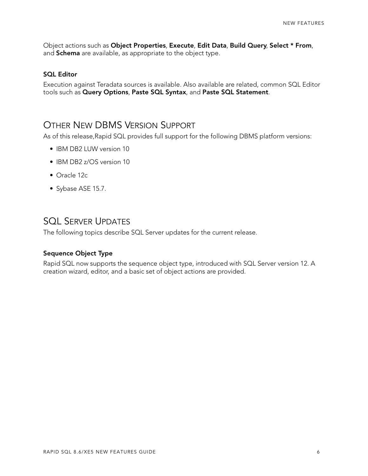Object actions such as **Object Properties**, **Execute**, **Edit Data**, **Build Query**, **Select \* From**, and **Schema** are available, as appropriate to the object type.

#### **SQL Editor**

Execution against Teradata sources is available. Also available are related, common SQL Editor tools such as **Query Options**, **Paste SQL Syntax**, and **Paste SQL Statement**.

### <span id="page-5-0"></span>OTHER NEW DBMS VERSION SUPPORT

As of this release,Rapid SQL provides full support for the following DBMS platform versions:

- IBM DB2 LUW version 10
- IBM DB2 z/OS version 10
- Oracle 12c
- Sybase ASE 15.7.

# <span id="page-5-1"></span>SQL SERVER UPDATES

The following topics describe SQL Server updates for the current release.

#### **Sequence Object Type**

Rapid SQL now supports the sequence object type, introduced with SQL Server version 12. A creation wizard, editor, and a basic set of object actions are provided.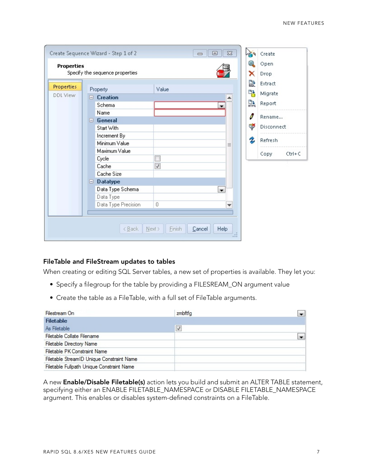|            |                                 | Create Sequence Wizard - Step 1 of 2 |                          | 回<br>$\Box$              | $\Sigma$ | NE 9 | Create             |
|------------|---------------------------------|--------------------------------------|--------------------------|--------------------------|----------|------|--------------------|
|            | <b>Properties</b>               |                                      |                          |                          |          | Θ    | Open               |
|            | Specify the sequence properties |                                      |                          |                          |          | ×    | Drop               |
| Properties |                                 |                                      |                          |                          |          | 먎    | Extract            |
| DDL View   |                                 | Property                             | Value                    |                          |          | 먭    | Migrate            |
|            | E.                              | <b>Creation</b>                      |                          |                          |          |      |                    |
|            |                                 | Schema                               |                          | ▼                        |          | 縣    | Report             |
|            |                                 | Name                                 |                          |                          |          | I    | Rename             |
|            |                                 | $\Box$ General                       |                          |                          |          |      |                    |
|            |                                 | Start With                           |                          |                          |          | ₹    | Disconnect         |
|            |                                 | Increment By                         |                          |                          |          |      |                    |
|            |                                 | Minimum Value                        |                          |                          | 亖        | Ż    | Refresh            |
|            |                                 | Maximum Value                        |                          |                          |          |      | Copy<br>$Ctrl + C$ |
|            |                                 | Cycle                                | $\Box$                   |                          |          |      |                    |
|            |                                 | Cache                                | $\overline{\mathcal{A}}$ |                          |          |      |                    |
|            |                                 | Cache Size                           |                          |                          |          |      |                    |
|            | Θ.                              | <b>Datatype</b>                      |                          |                          |          |      |                    |
|            |                                 | Data Type Schema                     |                          | $\overline{\phantom{a}}$ |          |      |                    |
|            |                                 | Data Type                            |                          |                          |          |      |                    |
|            |                                 | Data Type Precision                  | 0                        |                          | ٠        |      |                    |
|            |                                 |                                      |                          |                          |          |      |                    |
|            |                                 |                                      |                          |                          |          |      |                    |
|            |                                 | < Back                               | Einish<br>Next           | Help<br>Cancel           |          |      |                    |

#### **FileTable and FileStream updates to tables**

When creating or editing SQL Server tables, a new set of properties is available. They let you:

- Specify a filegroup for the table by providing a FILESREAM\_ON argument value
- Create the table as a FileTable, with a full set of FileTable arguments.

| Filestream On                             | zmbftfg      |  |
|-------------------------------------------|--------------|--|
| <b>Filetable</b>                          |              |  |
| As Filetable                              | $\checkmark$ |  |
| Filetable Collate Filename                |              |  |
| <b>Filetable Directory Name</b>           |              |  |
| Filetable PK Constraint Name              |              |  |
| Filetable StreamID Unique Constraint Name |              |  |
| Filetable Fullpath Unique Constraint Name |              |  |

A new **Enable/Disable Filetable(s)** action lets you build and submit an ALTER TABLE statement, specifying either an ENABLE FILETABLE\_NAMESPACE or DISABLE FILETABLE\_NAMESPACE argument. This enables or disables system-defined constraints on a FileTable.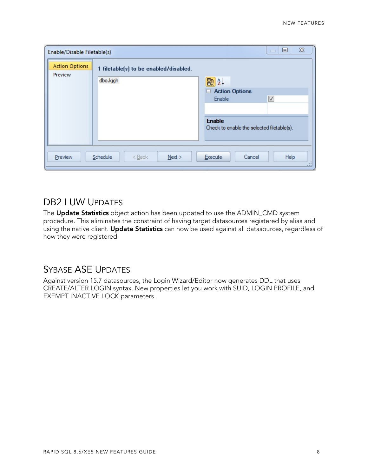| Enable/Disable Filetable(s)      |                                                    | $\Sigma$<br>回<br>$\sim$                                                                        |
|----------------------------------|----------------------------------------------------|------------------------------------------------------------------------------------------------|
| <b>Action Options</b><br>Preview | 1 filetable(s) to be enabled/disabled.<br>dbo.kjgh | ■ 2↓<br>Action Options<br>$\blacktriangledown$<br>Enable                                       |
| Preview                          | Schedule<br>$<$ Back<br>Next >                     | <b>Enable</b><br>Check to enable the selected filetable(s).<br>Help<br>Execute<br>Cancel<br>42 |

# <span id="page-7-0"></span>DB2 LUW UPDATES

The **Update Statistics** object action has been updated to use the ADMIN\_CMD system procedure. This eliminates the constraint of having target datasources registered by alias and using the native client. **Update Statistics** can now be used against all datasources, regardless of how they were registered.

# <span id="page-7-1"></span>SYBASE ASE UPDATES

Against version 15.7 datasources, the Login Wizard/Editor now generates DDL that uses CREATE/ALTER LOGIN syntax. New properties let you work with SUID, LOGIN PROFILE, and EXEMPT INACTIVE LOCK parameters.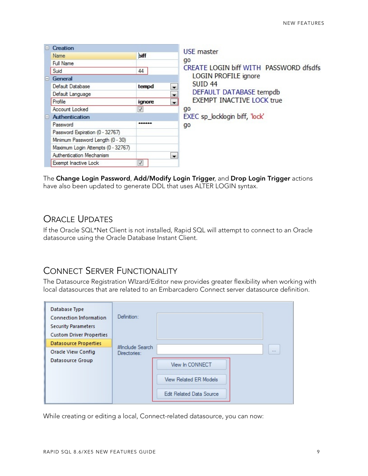| $\mathbf{-}$ | Creation                           |              |                          | <b>USE</b> master                            |
|--------------|------------------------------------|--------------|--------------------------|----------------------------------------------|
|              | Name                               | biff         |                          |                                              |
|              | Full Name                          |              |                          | go<br>CREATE LOGIN biff WITH PASSWORD dfsdfs |
|              | Suid                               | 44           |                          |                                              |
| E.           | General                            |              |                          | LOGIN PROFILE ignore                         |
|              | Default Database                   | tempd        | $\cdot$                  | <b>SUID 44</b>                               |
|              | Default Language                   |              | $\overline{\phantom{a}}$ | DEFAULT DATABASE tempdb                      |
|              | Profile                            | ignore       | $\overline{\phantom{a}}$ | <b>EXEMPT INACTIVE LOCK true</b>             |
|              | Account Locked                     | $\checkmark$ |                          | go                                           |
| $\Box$       | <b>Authentication</b>              |              |                          | EXEC sp_locklogin biff, 'lock'               |
|              | Password                           | ******       |                          | go                                           |
|              | Password Expiration (0 - 32767)    |              |                          |                                              |
|              | Minimum Password Length (0 - 30)   |              |                          |                                              |
|              | Maximum Login Attempts (0 - 32767) |              |                          |                                              |
|              | Authentication Mechanism           |              | $\overline{\phantom{a}}$ |                                              |
|              | Exempt Inactive Lock               | $\checkmark$ |                          |                                              |

The **Change Login Password**, **Add/Modify Login Trigger**, and **Drop Login Trigger** actions have also been updated to generate DDL that uses ALTER LOGIN syntax.

# <span id="page-8-0"></span>ORACLE UPDATES

If the Oracle SQL\*Net Client is not installed, Rapid SQL will attempt to connect to an Oracle datasource using the Oracle Database Instant Client.

# <span id="page-8-1"></span>CONNECT SERVER FUNCTIONALITY

The Datasource Registration WIzard/Editor new provides greater flexibility when working with local datasources that are related to an Embarcadero Connect server datasource definition.

| Database Type<br><b>Connection Information</b><br><b>Security Parameters</b> | Definition:                     |
|------------------------------------------------------------------------------|---------------------------------|
| <b>Custom Driver Properties</b>                                              |                                 |
| <b>Datasource Properties</b>                                                 | #Include Search                 |
| Oracle View Config                                                           | <br>Directories:                |
| Datasource Group                                                             | View In CONNECT                 |
|                                                                              | <b>View Related ER Models</b>   |
|                                                                              | <b>Edit Related Data Source</b> |

While creating or editing a local, Connect-related datasource, you can now: